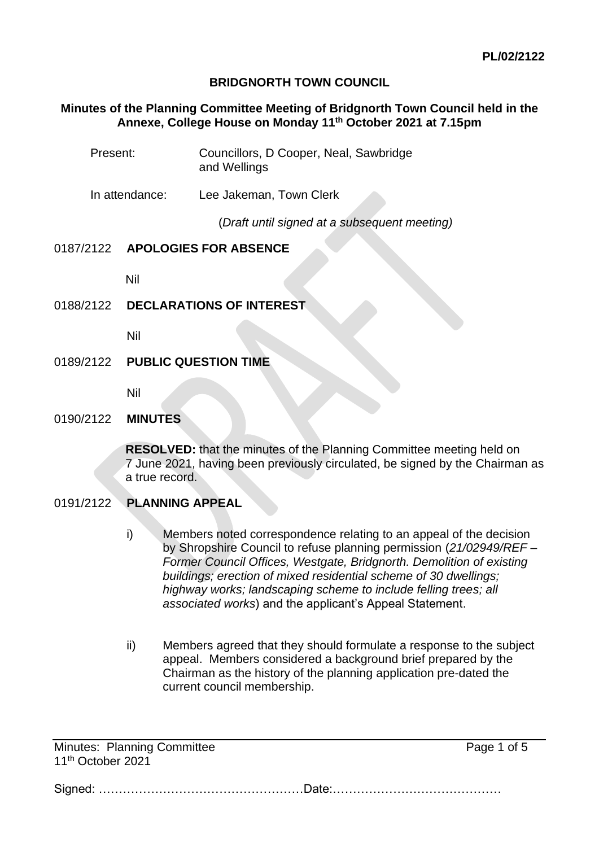## **BRIDGNORTH TOWN COUNCIL**

#### **Minutes of the Planning Committee Meeting of Bridgnorth Town Council held in the Annexe, College House on Monday 11th October 2021 at 7.15pm**

| Present:       | Councillors, D Cooper, Neal, Sawbridge<br>and Wellings |
|----------------|--------------------------------------------------------|
| In attendance: | Lee Jakeman, Town Clerk                                |
|                | (Draft until signed at a subsequent meeting)           |

### 0187/2122 **APOLOGIES FOR ABSENCE**

Nil

# 0188/2122 **DECLARATIONS OF INTEREST**

Nil

## 0189/2122 **PUBLIC QUESTION TIME**

Nil

#### 0190/2122 **MINUTES**

**RESOLVED:** that the minutes of the Planning Committee meeting held on 7 June 2021, having been previously circulated, be signed by the Chairman as a true record.

# 0191/2122 **PLANNING APPEAL**

- i) Members noted correspondence relating to an appeal of the decision by Shropshire Council to refuse planning permission (*21/02949/REF – Former Council Offices, Westgate, Bridgnorth. Demolition of existing buildings; erection of mixed residential scheme of 30 dwellings; highway works; landscaping scheme to include felling trees; all associated works*) and the applicant's Appeal Statement.
- ii) Members agreed that they should formulate a response to the subject appeal. Members considered a background brief prepared by the Chairman as the history of the planning application pre-dated the current council membership.

Minutes: Planning Committee **Page 1 of 5** and  $P$  and  $P$  and  $P$  and  $P$  and  $P$  and  $P$  and  $P$  and  $P$  and  $P$  and  $P$  and  $P$  and  $P$  and  $P$  and  $P$  and  $P$  and  $P$  and  $P$  and  $P$  and  $P$  and  $P$  and  $P$  and  $P$  and 11th October 2021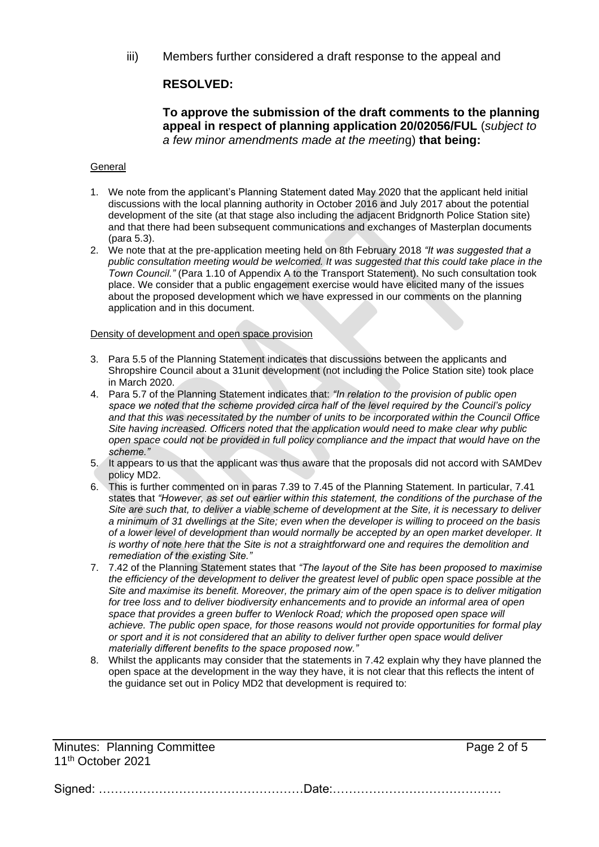iii) Members further considered a draft response to the appeal and

# **RESOLVED:**

## **To approve the submission of the draft comments to the planning appeal in respect of planning application 20/02056/FUL** (*subject to a few minor amendments made at the meetin*g) **that being:**

#### General

- 1. We note from the applicant's Planning Statement dated May 2020 that the applicant held initial discussions with the local planning authority in October 2016 and July 2017 about the potential development of the site (at that stage also including the adjacent Bridgnorth Police Station site) and that there had been subsequent communications and exchanges of Masterplan documents (para 5.3).
- 2. We note that at the pre-application meeting held on 8th February 2018 *"It was suggested that a*  public consultation meeting would be welcomed. It was suggested that this could take place in the *Town Council."* (Para 1.10 of Appendix A to the Transport Statement). No such consultation took place. We consider that a public engagement exercise would have elicited many of the issues about the proposed development which we have expressed in our comments on the planning application and in this document.

#### Density of development and open space provision

- 3. Para 5.5 of the Planning Statement indicates that discussions between the applicants and Shropshire Council about a 31unit development (not including the Police Station site) took place in March 2020.
- 4. Para 5.7 of the Planning Statement indicates that: *"In relation to the provision of public open space we noted that the scheme provided circa half of the level required by the Council's policy and that this was necessitated by the number of units to be incorporated within the Council Office Site having increased. Officers noted that the application would need to make clear why public open space could not be provided in full policy compliance and the impact that would have on the scheme."*
- 5. It appears to us that the applicant was thus aware that the proposals did not accord with SAMDev policy MD2.
- 6. This is further commented on in paras 7.39 to 7.45 of the Planning Statement. In particular, 7.41 states that *"However, as set out earlier within this statement, the conditions of the purchase of the Site are such that, to deliver a viable scheme of development at the Site, it is necessary to deliver a minimum of 31 dwellings at the Site; even when the developer is willing to proceed on the basis of a lower level of development than would normally be accepted by an open market developer. It is worthy of note here that the Site is not a straightforward one and requires the demolition and remediation of the existing Site."*
- 7. 7.42 of the Planning Statement states that *"The layout of the Site has been proposed to maximise the efficiency of the development to deliver the greatest level of public open space possible at the Site and maximise its benefit. Moreover, the primary aim of the open space is to deliver mitigation for tree loss and to deliver biodiversity enhancements and to provide an informal area of open space that provides a green buffer to Wenlock Road; which the proposed open space will achieve. The public open space, for those reasons would not provide opportunities for formal play or sport and it is not considered that an ability to deliver further open space would deliver materially different benefits to the space proposed now."*
- 8. Whilst the applicants may consider that the statements in 7.42 explain why they have planned the open space at the development in the way they have, it is not clear that this reflects the intent of the guidance set out in Policy MD2 that development is required to:

Minutes: Planning Committee **Page 2 of 5** and  $P$ age 2 of 5 11th October 2021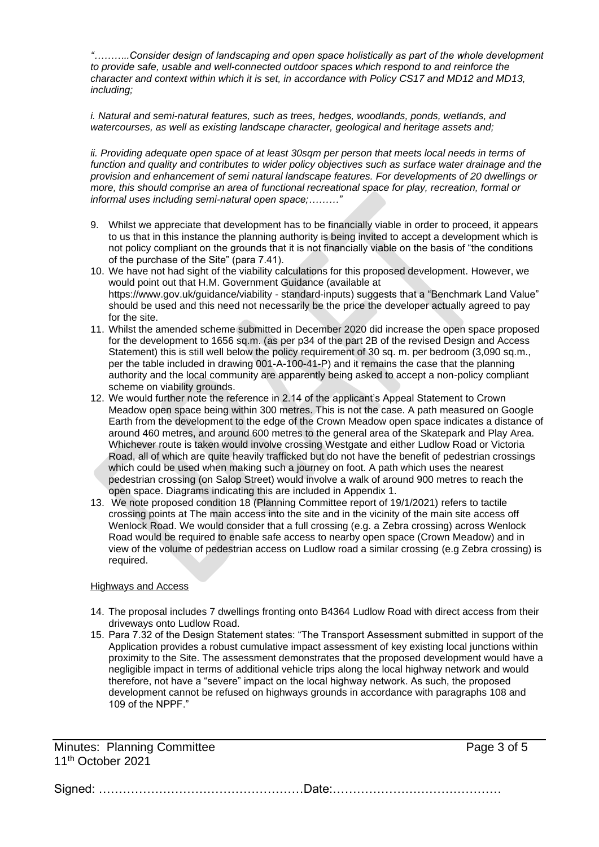*"………..Consider design of landscaping and open space holistically as part of the whole development to provide safe, usable and well-connected outdoor spaces which respond to and reinforce the character and context within which it is set, in accordance with Policy CS17 and MD12 and MD13, including;*

*i. Natural and semi-natural features, such as trees, hedges, woodlands, ponds, wetlands, and watercourses, as well as existing landscape character, geological and heritage assets and;*

ii. Providing adequate open space of at least 30sqm per person that meets local needs in terms of *function and quality and contributes to wider policy objectives such as surface water drainage and the provision and enhancement of semi natural landscape features. For developments of 20 dwellings or more, this should comprise an area of functional recreational space for play, recreation, formal or informal uses including semi-natural open space;………"*

- 9. Whilst we appreciate that development has to be financially viable in order to proceed, it appears to us that in this instance the planning authority is being invited to accept a development which is not policy compliant on the grounds that it is not financially viable on the basis of "the conditions of the purchase of the Site" (para 7.41).
- 10. We have not had sight of the viability calculations for this proposed development. However, we would point out that H.M. Government Guidance (available at [https://www.gov.uk/guidance/viability -](https://www.gov.uk/guidance/viability#standard-inputs) standard-inputs) suggests that a "Benchmark Land Value" should be used and this need not necessarily be the price the developer actually agreed to pay for the site.
- 11. Whilst the amended scheme submitted in December 2020 did increase the open space proposed for the development to 1656 sq.m. (as per p34 of the part 2B of the revised Design and Access Statement) this is still well below the policy requirement of 30 sq. m. per bedroom (3,090 sq.m., per the table included in drawing 001-A-100-41-P) and it remains the case that the planning authority and the local community are apparently being asked to accept a non-policy compliant scheme on viability grounds.
- 12. We would further note the reference in 2.14 of the applicant's Appeal Statement to Crown Meadow open space being within 300 metres. This is not the case. A path measured on Google Earth from the development to the edge of the Crown Meadow open space indicates a distance of around 460 metres, and around 600 metres to the general area of the Skatepark and Play Area. Whichever route is taken would involve crossing Westgate and either Ludlow Road or Victoria Road, all of which are quite heavily trafficked but do not have the benefit of pedestrian crossings which could be used when making such a journey on foot. A path which uses the nearest pedestrian crossing (on Salop Street) would involve a walk of around 900 metres to reach the open space. Diagrams indicating this are included in Appendix 1.
- 13. We note proposed condition 18 (Planning Committee report of 19/1/2021) refers to tactile crossing points at The main access into the site and in the vicinity of the main site access off Wenlock Road. We would consider that a full crossing (e.g. a Zebra crossing) across Wenlock Road would be required to enable safe access to nearby open space (Crown Meadow) and in view of the volume of pedestrian access on Ludlow road a similar crossing (e.g Zebra crossing) is required.

#### Highways and Access

- 14. The proposal includes 7 dwellings fronting onto B4364 Ludlow Road with direct access from their driveways onto Ludlow Road.
- 15. Para 7.32 of the Design Statement states: "The Transport Assessment submitted in support of the Application provides a robust cumulative impact assessment of key existing local junctions within proximity to the Site. The assessment demonstrates that the proposed development would have a negligible impact in terms of additional vehicle trips along the local highway network and would therefore, not have a "severe" impact on the local highway network. As such, the proposed development cannot be refused on highways grounds in accordance with paragraphs 108 and 109 of the NPPF."

Minutes: Planning Committee **Page 3 of 5** and  $P$ age 3 of 5 11th October 2021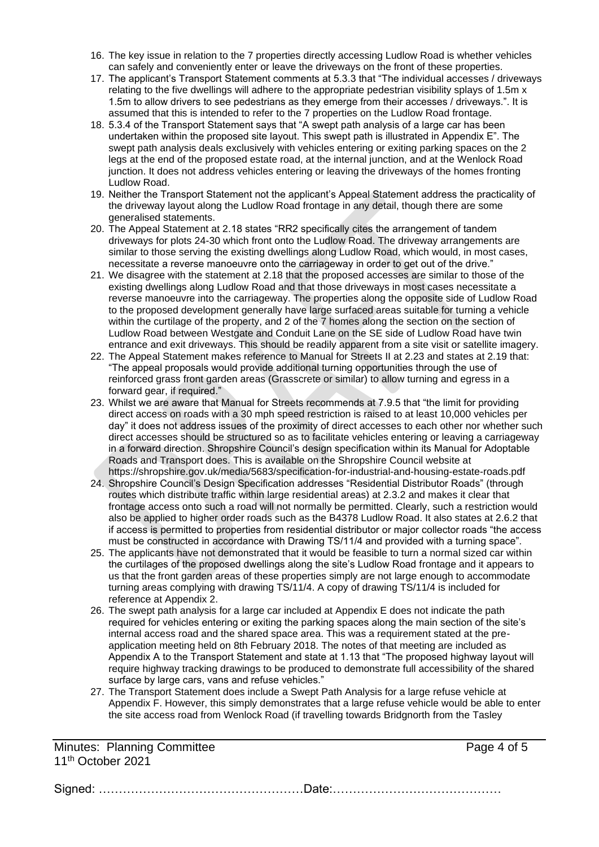- 16. The key issue in relation to the 7 properties directly accessing Ludlow Road is whether vehicles can safely and conveniently enter or leave the driveways on the front of these properties.
- 17. The applicant's Transport Statement comments at 5.3.3 that "The individual accesses / driveways relating to the five dwellings will adhere to the appropriate pedestrian visibility splays of 1.5m x 1.5m to allow drivers to see pedestrians as they emerge from their accesses / driveways.". It is assumed that this is intended to refer to the 7 properties on the Ludlow Road frontage.
- 18. 5.3.4 of the Transport Statement says that "A swept path analysis of a large car has been undertaken within the proposed site layout. This swept path is illustrated in Appendix E". The swept path analysis deals exclusively with vehicles entering or exiting parking spaces on the 2 legs at the end of the proposed estate road, at the internal junction, and at the Wenlock Road junction. It does not address vehicles entering or leaving the driveways of the homes fronting Ludlow Road.
- 19. Neither the Transport Statement not the applicant's Appeal Statement address the practicality of the driveway layout along the Ludlow Road frontage in any detail, though there are some generalised statements.
- 20. The Appeal Statement at 2.18 states "RR2 specifically cites the arrangement of tandem driveways for plots 24-30 which front onto the Ludlow Road. The driveway arrangements are similar to those serving the existing dwellings along Ludlow Road, which would, in most cases, necessitate a reverse manoeuvre onto the carriageway in order to get out of the drive."
- 21. We disagree with the statement at 2.18 that the proposed accesses are similar to those of the existing dwellings along Ludlow Road and that those driveways in most cases necessitate a reverse manoeuvre into the carriageway. The properties along the opposite side of Ludlow Road to the proposed development generally have large surfaced areas suitable for turning a vehicle within the curtilage of the property, and 2 of the 7 homes along the section on the section of Ludlow Road between Westgate and Conduit Lane on the SE side of Ludlow Road have twin entrance and exit driveways. This should be readily apparent from a site visit or satellite imagery.
- 22. The Appeal Statement makes reference to Manual for Streets II at 2.23 and states at 2.19 that: "The appeal proposals would provide additional turning opportunities through the use of reinforced grass front garden areas (Grasscrete or similar) to allow turning and egress in a forward gear, if required."
- 23. Whilst we are aware that Manual for Streets recommends at 7.9.5 that "the limit for providing direct access on roads with a 30 mph speed restriction is raised to at least 10,000 vehicles per day" it does not address issues of the proximity of direct accesses to each other nor whether such direct accesses should be structured so as to facilitate vehicles entering or leaving a carriageway in a forward direction. Shropshire Council's design specification within its Manual for Adoptable Roads and Transport does. This is available on the Shropshire Council website at <https://shropshire.gov.uk/media/5683/specification-for-industrial-and-housing-estate-roads.pdf>
- 24. Shropshire Council's Design Specification addresses "Residential Distributor Roads" (through routes which distribute traffic within large residential areas) at 2.3.2 and makes it clear that frontage access onto such a road will not normally be permitted. Clearly, such a restriction would also be applied to higher order roads such as the B4378 Ludlow Road. It also states at 2.6.2 that if access is permitted to properties from residential distributor or major collector roads "the access must be constructed in accordance with Drawing TS/11/4 and provided with a turning space".
- 25. The applicants have not demonstrated that it would be feasible to turn a normal sized car within the curtilages of the proposed dwellings along the site's Ludlow Road frontage and it appears to us that the front garden areas of these properties simply are not large enough to accommodate turning areas complying with drawing TS/11/4. A copy of drawing TS/11/4 is included for reference at Appendix 2.
- 26. The swept path analysis for a large car included at Appendix E does not indicate the path required for vehicles entering or exiting the parking spaces along the main section of the site's internal access road and the shared space area. This was a requirement stated at the preapplication meeting held on 8th February 2018. The notes of that meeting are included as Appendix A to the Transport Statement and state at 1.13 that "The proposed highway layout will require highway tracking drawings to be produced to demonstrate full accessibility of the shared surface by large cars, vans and refuse vehicles."
- 27. The Transport Statement does include a Swept Path Analysis for a large refuse vehicle at Appendix F. However, this simply demonstrates that a large refuse vehicle would be able to enter the site access road from Wenlock Road (if travelling towards Bridgnorth from the Tasley

Minutes: Planning Committee **Page 4 of 5** and  $P_1$  and  $P_2$  and  $P_3$  and  $P_4$  of 5 11th October 2021

| <u>1996 - Le de Legou de Legou de Legou de Legou de Legou de Legou de Legou de Legou de Legou de Legou de Legou d</u> |
|-----------------------------------------------------------------------------------------------------------------------|
|                                                                                                                       |